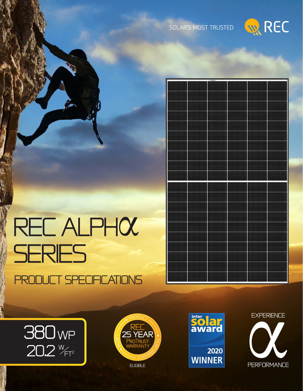





# REC ALPHOC<br>SERIES Product Specifications